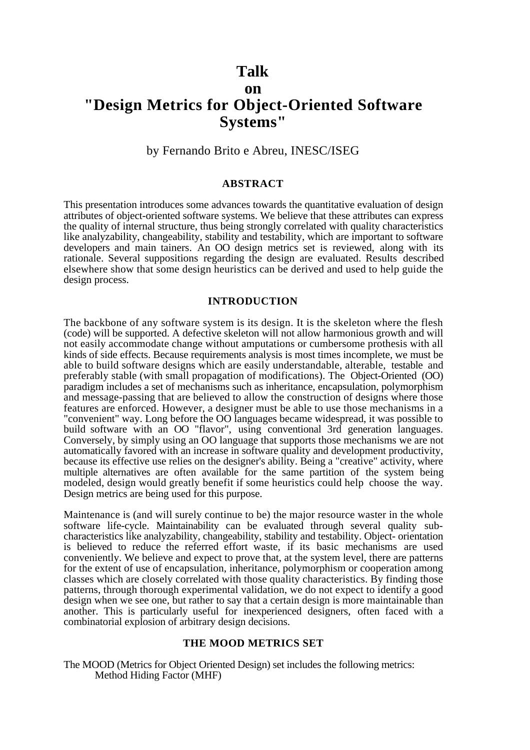# **Talk on "Design Metrics for Object-Oriented Software Systems"**

# by Fernando Brito e Abreu, INESC/ISEG

# **ABSTRACT**

This presentation introduces some advances towards the quantitative evaluation of design attributes of object-oriented software systems. We believe that these attributes can express the quality of internal structure, thus being strongly correlated with quality characteristics like analyzability, changeability, stability and testability, which are important to software developers and main tainers. An OO design metrics set is reviewed, along with its rationale. Several suppositions regarding the design are evaluated. Results described elsewhere show that some design heuristics can be derived and used to help guide the design process.

## **INTRODUCTION**

The backbone of any software system is its design. It is the skeleton where the flesh (code) will be supported. A defective skeleton will not allow harmonious growth and will not easily accommodate change without amputations or cumbersome prothesis with all kinds of side effects. Because requirements analysis is most times incomplete, we must be able to build software designs which are easily understandable, alterable, testable and preferably stable (with small propagation of modifications). The Object-Oriented (OO) paradigm includes a set of mechanisms such as inheritance, encapsulation, polymorphism and message-passing that are believed to allow the construction of designs where those features are enforced. However, a designer must be able to use those mechanisms in a "convenient" way. Long before the OO languages became widespread, it was possible to build software with an OO "flavor", using conventional 3rd generation languages. Conversely, by simply using an OO language that supports those mechanisms we are not automatically favored with an increase in software quality and development productivity, because its effective use relies on the designer's ability. Being a "creative" activity, where multiple alternatives are often available for the same partition of the system being modeled, design would greatly benefit if some heuristics could help choose the way. Design metrics are being used for this purpose.

Maintenance is (and will surely continue to be) the major resource waster in the whole software life-cycle. Maintainability can be evaluated through several quality subcharacteristics like analyzability, changeability, stability and testability. Object- orientation is believed to reduce the referred effort waste, if its basic mechanisms are used conveniently. We believe and expect to prove that, at the system level, there are patterns for the extent of use of encapsulation, inheritance, polymorphism or cooperation among classes which are closely correlated with those quality characteristics. By finding those patterns, through thorough experimental validation, we do not expect to identify a good design when we see one, but rather to say that a certain design is more maintainable than another. This is particularly useful for inexperienced designers, often faced with a combinatorial explosion of arbitrary design decisions.

#### **THE MOOD METRICS SET**

The MOOD (Metrics for Object Oriented Design) set includes the following metrics: Method Hiding Factor (MHF)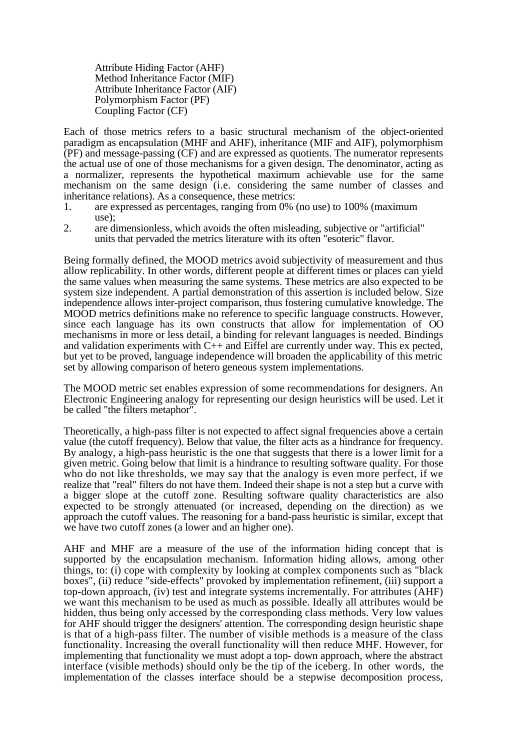Attribute Hiding Factor (AHF) Method Inheritance Factor (MIF) Attribute Inheritance Factor (AIF) Polymorphism Factor (PF) Coupling Factor (CF)

Each of those metrics refers to a basic structural mechanism of the object-oriented paradigm as encapsulation (MHF and AHF), inheritance (MIF and AIF), polymorphism (PF) and message-passing (CF) and are expressed as quotients. The numerator represents the actual use of one of those mechanisms for a given design. The denominator, acting as a normalizer, represents the hypothetical maximum achievable use for the same mechanism on the same design (i.e. considering the same number of classes and inheritance relations). As a consequence, these metrics:

- 1. are expressed as percentages, ranging from 0% (no use) to 100% (maximum use);
- 2. are dimensionless, which avoids the often misleading, subjective or "artificial" units that pervaded the metrics literature with its often "esoteric" flavor.

Being formally defined, the MOOD metrics avoid subjectivity of measurement and thus allow replicability. In other words, different people at different times or places can yield the same values when measuring the same systems. These metrics are also expected to be system size independent. A partial demonstration of this assertion is included below. Size independence allows inter-project comparison, thus fostering cumulative knowledge. The MOOD metrics definitions make no reference to specific language constructs. However, since each language has its own constructs that allow for implementation of OO mechanisms in more or less detail, a binding for relevant languages is needed. Bindings and validation experiments with  $C++$  and Eiffel are currently under way. This ex pected, but yet to be proved, language independence will broaden the applicability of this metric set by allowing comparison of hetero geneous system implementations.

The MOOD metric set enables expression of some recommendations for designers. An Electronic Engineering analogy for representing our design heuristics will be used. Let it be called "the filters metaphor".

Theoretically, a high-pass filter is not expected to affect signal frequencies above a certain value (the cutoff frequency). Below that value, the filter acts as a hindrance for frequency. By analogy, a high-pass heuristic is the one that suggests that there is a lower limit for a given metric. Going below that limit is a hindrance to resulting software quality. For those who do not like thresholds, we may say that the analogy is even more perfect, if we realize that "real" filters do not have them. Indeed their shape is not a step but a curve with a bigger slope at the cutoff zone. Resulting software quality characteristics are also expected to be strongly attenuated (or increased, depending on the direction) as we approach the cutoff values. The reasoning for a band-pass heuristic is similar, except that we have two cutoff zones (a lower and an higher one).

AHF and MHF are a measure of the use of the information hiding concept that is supported by the encapsulation mechanism. Information hiding allows, among other things, to: (i) cope with complexity by looking at complex components such as "black boxes", (ii) reduce "side-effects" provoked by implementation refinement, (iii) support a top-down approach, (iv) test and integrate systems incrementally. For attributes (AHF) we want this mechanism to be used as much as possible. Ideally all attributes would be hidden, thus being only accessed by the corresponding class methods. Very low values for AHF should trigger the designers' attention. The corresponding design heuristic shape is that of a high-pass filter. The number of visible methods is a measure of the class functionality. Increasing the overall functionality will then reduce MHF. However, for implementing that functionality we must adopt a top- down approach, where the abstract interface (visible methods) should only be the tip of the iceberg. In other words, the implementation of the classes interface should be a stepwise decomposition process,